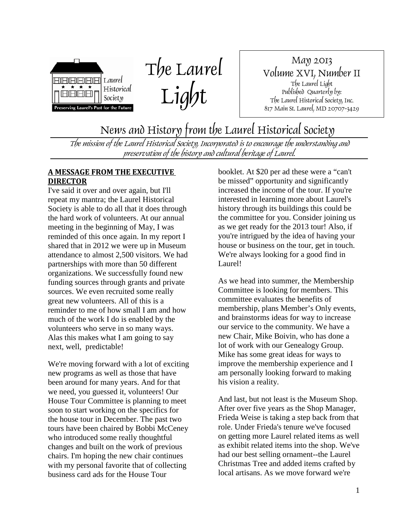

The Laurel Light

May 2013 Volume XVI, Number II The Laurel Light Published Quarterly by: The Laurel Historical Society, Inc. 817 Main St. Laurel, MD 20707-3429

News and History from the Laurel Historical Society

The mission of the Laurel Historical Society, Incorporated is to encourage the understanding and preservation of the history and cultural heritage of Laurel.

#### **A MESSAGE FROM THE EXECUTIVE DIRECTOR**

I've said it over and over again, but I'll repeat my mantra; the Laurel Historical Society is able to do all that it does through the hard work of volunteers. At our annual meeting in the beginning of May, I was reminded of this once again. In my report I shared that in 2012 we were up in Museum attendance to almost 2,500 visitors. We had partnerships with more than 50 different organizations. We successfully found new funding sources through grants and private sources. We even recruited some really great new volunteers. All of this is a reminder to me of how small I am and how much of the work I do is enabled by the volunteers who serve in so many ways. Alas this makes what I am going to say next, well, predictable!

We're moving forward with a lot of exciting new programs as well as those that have been around for many years. And for that we need, you guessed it, volunteers! Our House Tour Committee is planning to meet soon to start working on the specifics for the house tour in December. The past two tours have been chaired by Bobbi McCeney who introduced some really thoughtful changes and built on the work of previous chairs. I'm hoping the new chair continues with my personal favorite that of collecting business card ads for the House Tour

booklet. At \$20 per ad these were a "can't be missed" opportunity and significantly increased the income of the tour. If you're interested in learning more about Laurel's history through its buildings this could be the committee for you. Consider joining us as we get ready for the 2013 tour! Also, if you're intrigued by the idea of having your house or business on the tour, get in touch. We're always looking for a good find in Laurel!

As we head into summer, the Membership Committee is looking for members. This committee evaluates the benefits of membership, plans Member's Only events, and brainstorms ideas for way to increase our service to the community. We have a new Chair, Mike Boivin, who has done a lot of work with our Genealogy Group. Mike has some great ideas for ways to improve the membership experience and I am personally looking forward to making his vision a reality.

And last, but not least is the Museum Shop. After over five years as the Shop Manager, Frieda Weise is taking a step back from that role. Under Frieda's tenure we've focused on getting more Laurel related items as well as exhibit related items into the shop. We've had our best selling ornament--the Laurel Christmas Tree and added items crafted by local artisans. As we move forward we're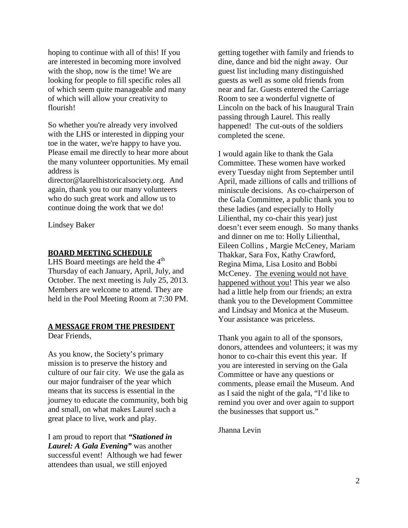hoping to continue with all of this! If you are interested in becoming more involved with the shop, now is the time! We are looking for people to fill specific roles all of which seem quite manageable and many of which will allow your creativity to flourish!

So whether you're already very involved with the LHS or interested in dipping your toe in the water, we're happy to have you. Please email me directly to hear more about the many volunteer opportunities. My email address is

director@laurelhistoricalsociety.org. And again, thank you to our many volunteers who do such great work and allow us to continue doing the work that we do!

Lindsey Baker

#### **BOARD MEETING SCHEDULE**

LHS Board meetings are held the  $4<sup>th</sup>$ Thursday of each January, April, July, and October. The next meeting is July 25, 2013. Members are welcome to attend. They are held in the Pool Meeting Room at 7:30 PM.

#### **A MESSAGE FROM THE PRESIDENT**

Dear Friends,

As you know, the Society's primary mission is to preserve the history and culture of our fair city. We use the gala as our major fundraiser of the year which means that its success is essential in the journey to educate the community, both big and small, on what makes Laurel such a great place to live, work and play.

I am proud to report that *"Stationed in Laurel: A Gala Evening"* was another successful event! Although we had fewer attendees than usual, we still enjoyed

getting together with family and friends to dine, dance and bid the night away. Our guest list including many distinguished guests as well as some old friends from near and far. Guests entered the Carriage Room to see a wonderful vignette of Lincoln on the back of his Inaugural Train passing through Laurel. This really happened! The cut-outs of the soldiers completed the scene.

I would again like to thank the Gala Committee. These women have worked every Tuesday night from September until April, made zillions of calls and trillions of miniscule decisions. As co-chairperson of the Gala Committee, a public thank you to these ladies (and especially to Holly Lilienthal, my co-chair this year) just doesn't ever seem enough. So many thanks and dinner on me to: Holly Lilienthal, Eileen Collins , Margie McCeney, Mariam Thakkar, Sara Fox, Kathy Crawford, Regina Mima, Lisa Losito and Bobbi McCeney. The evening would not have happened without you! This year we also had a little help from our friends; an extra thank you to the Development Committee and Lindsay and Monica at the Museum. Your assistance was priceless.

Thank you again to all of the sponsors, donors, attendees and volunteers; it was my honor to co-chair this event this year. If you are interested in serving on the Gala Committee or have any questions or comments, please email the Museum. And as I said the night of the gala, "I'd like to remind you over and over again to support the businesses that support us."

Jhanna Levin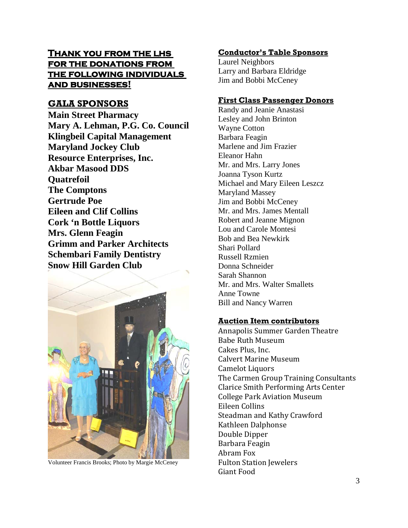## **Thank you from the lhs for the donations from the following individuals and businesses!**

## **GALA SPONSORS**

**Main Street Pharmacy Mary A. Lehman, P.G. Co. Council Klingbeil Capital Management Maryland Jockey Club Resource Enterprises, Inc. Akbar Masood DDS Quatrefoil The Comptons Gertrude Poe Eileen and Clif Collins Cork 'n Bottle Liquors Mrs. Glenn Feagin Grimm and Parker Architects Schembari Family Dentistry Snow Hill Garden Club**



Volunteer Francis Brooks; Photo by Margie McCeney

#### **Conductor's Table Sponsors**

Laurel Neighbors Larry and Barbara Eldridge Jim and Bobbi McCeney

#### **First Class Passenger Donors**

Randy and Jeanie Anastasi Lesley and John Brinton Wayne Cotton Barbara Feagin Marlene and Jim Frazier Eleanor Hahn Mr. and Mrs. Larry Jones Joanna Tyson Kurtz Michael and Mary Eileen Leszcz Maryland Massey Jim and Bobbi McCeney Mr. and Mrs. James Mentall Robert and Jeanne Mignon Lou and Carole Montesi Bob and Bea Newkirk Shari Pollard Russell Rzmien Donna Schneider Sarah Shannon Mr. and Mrs. Walter Smallets Anne Towne Bill and Nancy Warren

#### **Auction Item contributors**

Annapolis Summer Garden Theatre Babe Ruth Museum Cakes Plus, Inc. Calvert Marine Museum Camelot Liquors The Carmen Group Training Consultants Clarice Smith Performing Arts Center College Park Aviation Museum Eileen Collins Steadman and Kathy Crawford Kathleen Dalphonse Double Dipper Barbara Feagin Abram Fox Fulton Station Jewelers Giant Food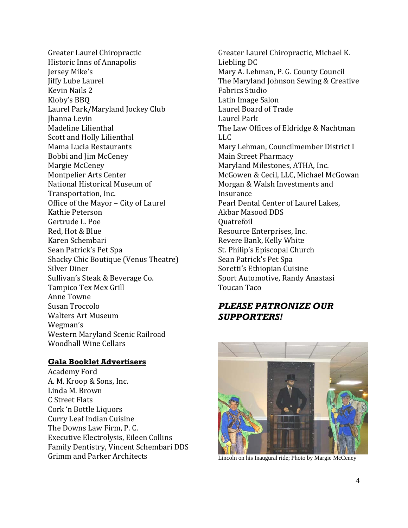Greater Laurel Chiropractic Historic Inns of Annapolis Jersey Mike's Jiffy Lube Laurel Kevin Nails 2 Kloby's BBQ Laurel Park/Maryland Jockey Club Jhanna Levin Madeline Lilienthal Scott and Holly Lilienthal Mama Lucia Restaurants Bobbi and Jim McCeney Margie McCeney Montpelier Arts Center National Historical Museum of Transportation, Inc. Office of the Mayor – City of Laurel Kathie Peterson Gertrude L. Poe Red, Hot & Blue Karen Schembari Sean Patrick's Pet Spa Shacky Chic Boutique (Venus Theatre) Silver Diner Sullivan's Steak & Beverage Co. Tampico Tex Mex Grill Anne Towne Susan Troccolo Walters Art Museum Wegman's Western Maryland Scenic Railroad Woodhall Wine Cellars

#### **Gala Booklet Advertisers**

Academy Ford A. M. Kroop & Sons, Inc. Linda M. Brown C Street Flats Cork 'n Bottle Liquors Curry Leaf Indian Cuisine The Downs Law Firm, P. C. Executive Electrolysis, Eileen Collins Family Dentistry, Vincent Schembari DDS Grimm and Parker Architects

Greater Laurel Chiropractic, Michael K. Liebling DC Mary A. Lehman, P. G. County Council The Maryland Johnson Sewing & Creative Fabrics Studio Latin Image Salon Laurel Board of Trade Laurel Park The Law Offices of Eldridge & Nachtman LLC Mary Lehman, Councilmember District I Main Street Pharmacy Maryland Milestones, ATHA, Inc. McGowen & Cecil, LLC, Michael McGowan Morgan & Walsh Investments and Insurance Pearl Dental Center of Laurel Lakes, Akbar Masood DDS Quatrefoil Resource Enterprises, Inc. Revere Bank, Kelly White St. Philip's Episcopal Church Sean Patrick's Pet Spa Soretti's Ethiopian Cuisine Sport Automotive, Randy Anastasi Toucan Taco

## *PLEASE PATRONIZE OUR SUPPORTERS!*



Lincoln on his Inaugural ride; Photo by Margie McCeney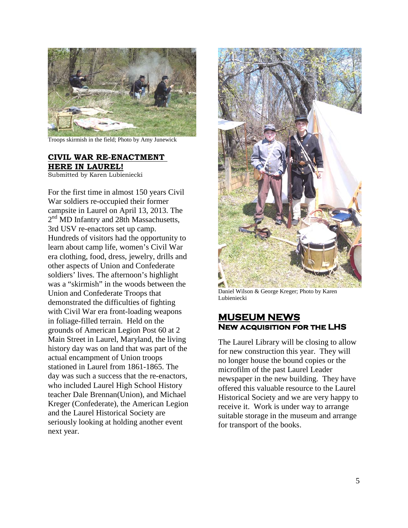

Troops skirmish in the field; Photo by Amy Junewick

#### **CIVIL WAR RE-ENACTMENT HERE IN LAUREL!**

Submitted by Karen Lubieniecki

For the first time in almost 150 years Civil War soldiers re-occupied their former campsite in Laurel on April 13, 2013. The 2<sup>nd</sup> MD Infantry and 28th Massachusetts, 3rd USV re-enactors set up camp. Hundreds of visitors had the opportunity to learn about camp life, women's Civil War era clothing, food, dress, jewelry, drills and other aspects of Union and Confederate soldiers' lives. The afternoon's highlight was a "skirmish" in the woods between the Union and Confederate Troops that demonstrated the difficulties of fighting with Civil War era front-loading weapons in foliage-filled terrain. Held on the grounds of American Legion Post 60 at 2 Main Street in Laurel, Maryland, the living history day was on land that was part of the actual encampment of Union troops stationed in Laurel from 1861-1865. The day was such a success that the re-enactors, who included Laurel High School History teacher Dale Brennan(Union), and Michael Kreger (Confederate), the American Legion and the Laurel Historical Society are seriously looking at holding another event next year.



Daniel Wilson & George Kreger; Photo by Karen Lubieniecki

### **New acquisition for the LHS MUSEUM NEWS**

The Laurel Library will be closing to allow for new construction this year. They will no longer house the bound copies or the microfilm of the past Laurel Leader newspaper in the new building. They have offered this valuable resource to the Laurel Historical Society and we are very happy to receive it. Work is under way to arrange suitable storage in the museum and arrange for transport of the books.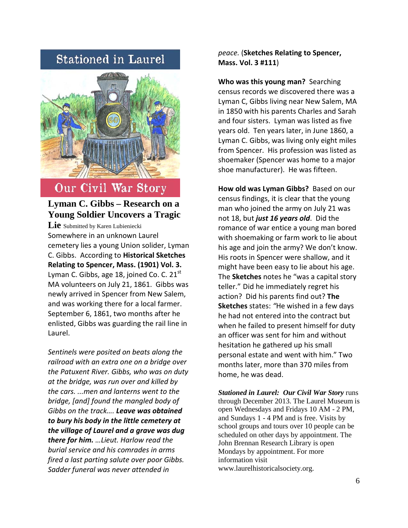# **Stationed in Laurel**



# Our Civil War Story

## **Lyman C. Gibbs – Research on a Young Soldier Uncovers a Tragic**

Lie Submitted by Karen Lubieniecki Somewhere in an unknown Laurel cemetery lies a young Union solider, Lyman C. Gibbs. According to **Historical Sketches Relating to Spencer, Mass. (1901) Vol. 3.** Lyman C. Gibbs, age 18, joined Co. C.  $21^{st}$ MA volunteers on July 21, 1861.Gibbs was newly arrived in Spencer from New Salem, and was working there for a local farmer. September 6, 1861, two months after he enlisted, Gibbs was guarding the rail line in Laurel.

*Sentinels were posited on beats along the railroad with an extra one on a bridge over the Patuxent River. Gibbs, who was on duty at the bridge, was run over and killed by the cars. ...men and lanterns went to the bridge, [and] found the mangled body of Gibbs on the track…. Leave was obtained to bury his body in the little cemetery at the village of Laurel and a grave was dug there for him. …Lieut. Harlow read the burial service and his comrades in arms fired a last parting salute over poor Gibbs. Sadder funeral was never attended in* 

*peace.* (**Sketches Relating to Spencer, Mass. Vol. 3 #111**)

**Who was this young man?** Searching census records we discovered there was a Lyman C, Gibbs living near New Salem, MA in 1850 with his parents Charles and Sarah and four sisters. Lyman was listed as five years old. Ten years later, in June 1860, a Lyman C. Gibbs, was living only eight miles from Spencer. His profession was listed as shoemaker (Spencer was home to a major shoe manufacturer). He was fifteen.

**How old was Lyman Gibbs?** Based on our census findings, it is clear that the young man who joined the army on July 21 was not 18, but *just 16 years old*. Did the romance of war entice a young man bored with shoemaking or farm work to lie about his age and join the army? We don't know. His roots in Spencer were shallow, and it might have been easy to lie about his age. The **Sketches** notes he "was a capital story teller." Did he immediately regret his action? Did his parents find out? **The Sketches** states: *"*He wished in a few days he had not entered into the contract but when he failed to present himself for duty an officer was sent for him and without hesitation he gathered up his small personal estate and went with him." Two months later, more than 370 miles from home, he was dead.

*Stationed in Laurel: Our Civil War Story* runs through December 2013. The Laurel Museum is open Wednesdays and Fridays 10 AM - 2 PM, and Sundays 1 - 4 PM and is free. Visits by school groups and tours over 10 people can be scheduled on other days by appointment. The John Brennan Research Library is open Mondays by appointment. For more information visit www.laurelhistoricalsociety.org.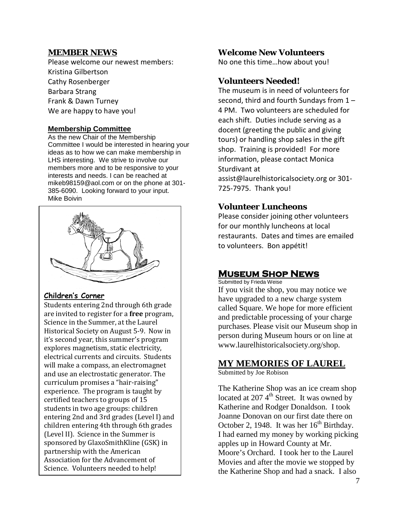#### **MEMBER NEWS**

Please welcome our newest members: Kristina Gilbertson Cathy Rosenberger Barbara Strang Frank & Dawn Turney We are happy to have you!

#### **Membership Committee**

As the new Chair of the Membership Committee I would be interested in hearing your ideas as to how we can make membership in LHS interesting. We strive to involve our members more and to be responsive to your interests and needs. I can be reached at mikeb98159@aol.com or on the phone at 301- 385-6090. Looking forward to your input. Mike Boivin



#### **Children's Corner**

Students entering 2nd through 6th grade are invited to register for a **free** program, Science in the Summer, at the Laurel Historical Society on August 5-9. Now in it's second year, this summer's program explores magnetism, static electricity, electrical currents and circuits. Students will make a compass, an electromagnet and use an electrostatic generator. The curriculum promises a "hair-raising" experience. The program is taught by certified teachers to groups of 15 students in two age groups: children entering 2nd and 3rd grades (Level I) and children entering 4th through 6th grades (Level II). Science in the Summer is sponsored by GlaxoSmithKline (GSK) in partnership with the American Association for the Advancement of Science. Volunteers needed to help!

#### **Welcome New Volunteers**

No one this time…how about you!

### **Volunteers Needed!**

The museum is in need of volunteers for second, third and fourth Sundays from 1 – 4 PM. Two volunteers are scheduled for each shift. Duties include serving as a docent (greeting the public and giving tours) or handling shop sales in the gift shop. Training is provided! For more information, please contact Monica Sturdivant at assist@laurelhistoricalsociety.org or 301- 725-7975. Thank you!

## **Volunteer Luncheons**

Please consider joining other volunteers for our monthly luncheons at local restaurants. Dates and times are emailed to volunteers. Bon appétit!

## **Museum Shop News**

Submitted by Frieda Weise

If you visit the shop, you may notice we have upgraded to a new charge system called Square. We hope for more efficient and predictable processing of your charge purchases. Please visit our Museum shop in person during Museum hours or on line at www.laurelhistoricalsociety.org/shop.

## **MY MEMORIES OF LAUREL**

Submitted by Joe Robison

The Katherine Shop was an ice cream shop located at 207 $4<sup>th</sup>$  Street. It was owned by Katherine and Rodger Donaldson. I took Joanne Donovan on our first date there on October 2, 1948. It was her  $16<sup>th</sup>$  Birthday. I had earned my money by working picking apples up in Howard County at Mr. Moore's Orchard. I took her to the Laurel Movies and after the movie we stopped by the Katherine Shop and had a snack. I also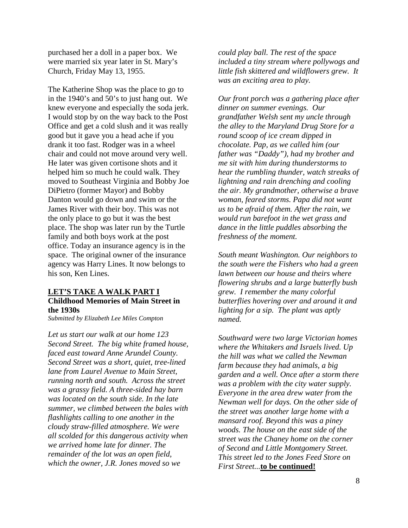purchased her a doll in a paper box. We were married six year later in St. Mary's Church, Friday May 13, 1955.

The Katherine Shop was the place to go to in the 1940's and 50's to just hang out. We knew everyone and especially the soda jerk. I would stop by on the way back to the Post Office and get a cold slush and it was really good but it gave you a head ache if you drank it too fast. Rodger was in a wheel chair and could not move around very well. He later was given cortisone shots and it helped him so much he could walk. They moved to Southeast Virginia and Bobby Joe DiPietro (former Mayor) and Bobby Danton would go down and swim or the James River with their boy. This was not the only place to go but it was the best place. The shop was later run by the Turtle family and both boys work at the post office. Today an insurance agency is in the space. The original owner of the insurance agency was Harry Lines. It now belongs to his son, Ken Lines.

#### **Childhood Memories of Main Street in the 1930s LET'S TAKE A WALK PART I**

*Submitted by Elizabeth Lee Miles Compton*

*Let us start our walk at our home 123 Second Street. The big white framed house, faced east toward Anne Arundel County. Second Street was a short, quiet, tree-lined lane from Laurel Avenue to Main Street, running north and south. Across the street was a grassy field. A three-sided hay barn was located on the south side. In the late summer, we climbed between the bales with flashlights calling to one another in the cloudy straw-filled atmosphere. We were all scolded for this dangerous activity when we arrived home late for dinner. The remainder of the lot was an open field, which the owner, J.R. Jones moved so we* 

*could play ball. The rest of the space included a tiny stream where pollywogs and little fish skittered and wildflowers grew. It was an exciting area to play.*

*Our front porch was a gathering place after dinner on summer evenings. Our grandfather Welsh sent my uncle through the alley to the Maryland Drug Store for a round scoop of ice cream dipped in chocolate. Pap, as we called him (our father was "Daddy"), had my brother and me sit with him during thunderstorms to hear the rumbling thunder, watch streaks of lightning and rain drenching and cooling the air. My grandmother, otherwise a brave woman, feared storms. Papa did not want us to be afraid of them. After the rain, we would run barefoot in the wet grass and dance in the little puddles absorbing the freshness of the moment.*

*South meant Washington. Our neighbors to the south were the Fishers who had a green lawn between our house and theirs where flowering shrubs and a large butterfly bush grew. I remember the many colorful butterflies hovering over and around it and lighting for a sip. The plant was aptly named.*

*Southward were two large Victorian homes where the Whitakers and Israels lived. Up the hill was what we called the Newman farm because they had animals, a big garden and a well. Once after a storm there was a problem with the city water supply. Everyone in the area drew water from the Newman well for days. On the other side of the street was another large home with a mansard roof. Beyond this was a piney woods. The house on the east side of the street was the Chaney home on the corner of Second and Little Montgomery Street. This street led to the Jones Feed Store on First Street...***to be continued!**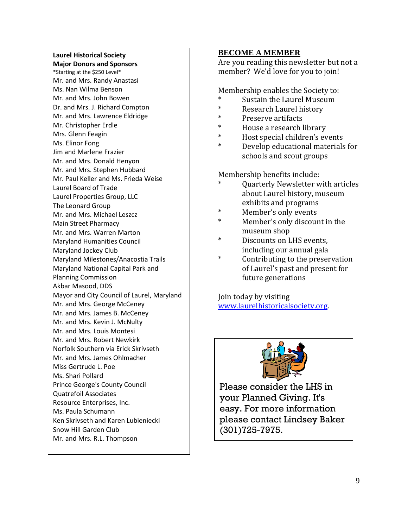## **Laurel Historical Society**

**Major Donors and Sponsors** \*Starting at the \$250 Level\* Mr. and Mrs. Randy Anastasi Ms. Nan Wilma Benson Mr. and Mrs. John Bowen Dr. and Mrs. J. Richard Compton Mr. and Mrs. Lawrence Eldridge Mr. Christopher Erdle Mrs. Glenn Feagin Ms. Elinor Fong Jim and Marlene Frazier Mr. and Mrs. Donald Henyon Mr. and Mrs. Stephen Hubbard Mr. Paul Keller and Ms. Frieda Weise Laurel Board of Trade Laurel Properties Group, LLC The Leonard Group Mr. and Mrs. Michael Leszcz Main Street Pharmacy Mr. and Mrs. Warren Marton Maryland Humanities Council Maryland Jockey Club Maryland Milestones/Anacostia Trails Maryland National Capital Park and Planning Commission Akbar Masood, DDS Mayor and City Council of Laurel, Maryland Mr. and Mrs. George McCeney Mr. and Mrs. James B. McCeney Mr. and Mrs. Kevin J. McNulty Mr. and Mrs. Louis Montesi Mr. and Mrs. Robert Newkirk Norfolk Southern via Erick Skrivseth Mr. and Mrs. James Ohlmacher Miss Gertrude L. Poe Ms. Shari Pollard Prince George's County Council Quatrefoil Associates Resource Enterprises, Inc. Ms. Paula Schumann Ken Skrivseth and Karen Lubieniecki Snow Hill Garden Club Mr. and Mrs. R.L. Thompson

#### **BECOME A MEMBER**

Are you reading this newsletter but not a member? We'd love for you to join!

Membership enables the Society to:

- Sustain the Laurel Museum
- \* Research Laurel history<br>
\* Presence ontifacts
- \* Preserve artifacts
- \* House a research library<br>\* Host special children's au
- Host special children's events
- Develop educational materials for schools and scout groups

Membership benefits include:

- Ouarterly Newsletter with articles about Laurel history, museum exhibits and programs
- Member's only events
- Member's only discount in the museum shop
- \* Discounts on LHS events, including our annual gala
- Contributing to the preservation of Laurel's past and present for future generations

Join today by visiting [www.laurelhistoricalsociety.org.](http://www.laurelhistoricalsociety.org/)



Please consider the LHS in your Planned Giving. It's easy. For more information please contact Lindsey Baker (301)725-7975.